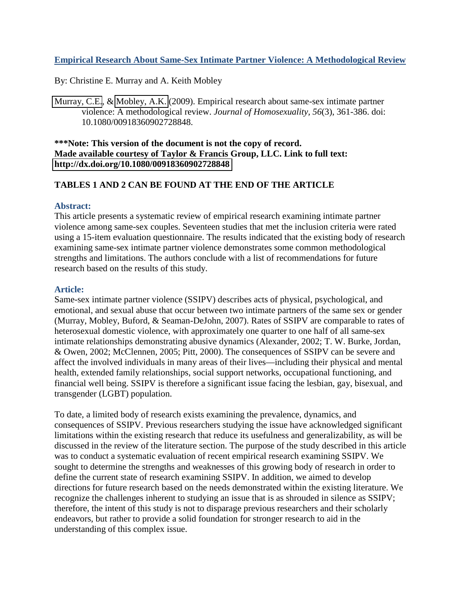# **Empirical Research About Same-Sex Intimate Partner Violence: A Methodological Review**

By: Christine E. Murray and A. Keith Mobley

[Murray, C.E.](http://libres.uncg.edu/ir/clist.aspx?id=894), & [Mobley, A.K.](http://libres.uncg.edu/ir/clist.aspx?id=919) (2009). Empirical research about same-sex intimate partner violence: A methodological review. *Journal of Homosexuality, 56*(3), 361-386. doi: 10.1080/00918360902728848.

# **\*\*\*Note: This version of the document is not the copy of record. Made available courtesy of Taylor & Francis Group, LLC. Link to full text: <http://dx.doi.org/10.1080/00918360902728848>**

# **TABLES 1 AND 2 CAN BE FOUND AT THE END OF THE ARTICLE**

## **Abstract:**

This article presents a systematic review of empirical research examining intimate partner violence among same-sex couples. Seventeen studies that met the inclusion criteria were rated using a 15-item evaluation questionnaire. The results indicated that the existing body of research examining same-sex intimate partner violence demonstrates some common methodological strengths and limitations. The authors conclude with a list of recommendations for future research based on the results of this study.

# **Article:**

Same-sex intimate partner violence (SSIPV) describes acts of physical, psychological, and emotional, and sexual abuse that occur between two intimate partners of the same sex or gender (Murray, Mobley, Buford, & Seaman-DeJohn, 2007). Rates of SSIPV are comparable to rates of heterosexual domestic violence, with approximately one quarter to one half of all same-sex intimate relationships demonstrating abusive dynamics (Alexander, 2002; T. W. Burke, Jordan, & Owen, 2002; McClennen, 2005; Pitt, 2000). The consequences of SSIPV can be severe and affect the involved individuals in many areas of their lives—including their physical and mental health, extended family relationships, social support networks, occupational functioning, and financial well being. SSIPV is therefore a significant issue facing the lesbian, gay, bisexual, and transgender (LGBT) population.

To date, a limited body of research exists examining the prevalence, dynamics, and consequences of SSIPV. Previous researchers studying the issue have acknowledged significant limitations within the existing research that reduce its usefulness and generalizability, as will be discussed in the review of the literature section. The purpose of the study described in this article was to conduct a systematic evaluation of recent empirical research examining SSIPV. We sought to determine the strengths and weaknesses of this growing body of research in order to define the current state of research examining SSIPV. In addition, we aimed to develop directions for future research based on the needs demonstrated within the existing literature. We recognize the challenges inherent to studying an issue that is as shrouded in silence as SSIPV; therefore, the intent of this study is not to disparage previous researchers and their scholarly endeavors, but rather to provide a solid foundation for stronger research to aid in the understanding of this complex issue.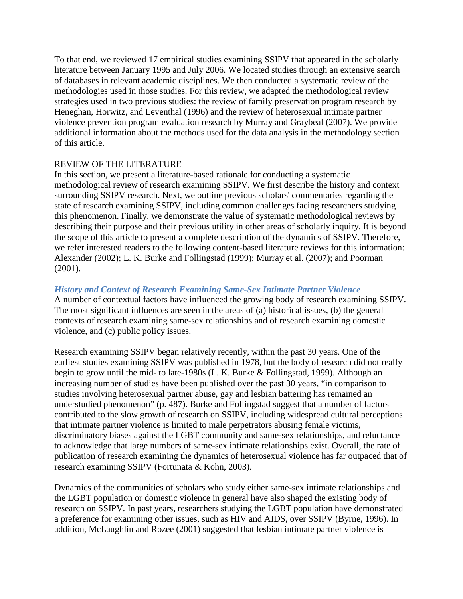To that end, we reviewed 17 empirical studies examining SSIPV that appeared in the scholarly literature between January 1995 and July 2006. We located studies through an extensive search of databases in relevant academic disciplines. We then conducted a systematic review of the methodologies used in those studies. For this review, we adapted the methodological review strategies used in two previous studies: the review of family preservation program research by Heneghan, Horwitz, and Leventhal (1996) and the review of heterosexual intimate partner violence prevention program evaluation research by Murray and Graybeal (2007). We provide additional information about the methods used for the data analysis in the methodology section of this article.

# REVIEW OF THE LITERATURE

In this section, we present a literature-based rationale for conducting a systematic methodological review of research examining SSIPV. We first describe the history and context surrounding SSIPV research. Next, we outline previous scholars' commentaries regarding the state of research examining SSIPV, including common challenges facing researchers studying this phenomenon. Finally, we demonstrate the value of systematic methodological reviews by describing their purpose and their previous utility in other areas of scholarly inquiry. It is beyond the scope of this article to present a complete description of the dynamics of SSIPV. Therefore, we refer interested readers to the following content-based literature reviews for this information: Alexander (2002); L. K. Burke and Follingstad (1999); Murray et al. (2007); and Poorman (2001).

# *History and Context of Research Examining Same-Sex Intimate Partner Violence*

A number of contextual factors have influenced the growing body of research examining SSIPV. The most significant influences are seen in the areas of (a) historical issues, (b) the general contexts of research examining same-sex relationships and of research examining domestic violence, and (c) public policy issues.

Research examining SSIPV began relatively recently, within the past 30 years. One of the earliest studies examining SSIPV was published in 1978, but the body of research did not really begin to grow until the mid- to late-1980s (L. K. Burke & Follingstad, 1999). Although an increasing number of studies have been published over the past 30 years, "in comparison to studies involving heterosexual partner abuse, gay and lesbian battering has remained an understudied phenomenon" (p. 487). Burke and Follingstad suggest that a number of factors contributed to the slow growth of research on SSIPV, including widespread cultural perceptions that intimate partner violence is limited to male perpetrators abusing female victims, discriminatory biases against the LGBT community and same-sex relationships, and reluctance to acknowledge that large numbers of same-sex intimate relationships exist. Overall, the rate of publication of research examining the dynamics of heterosexual violence has far outpaced that of research examining SSIPV (Fortunata & Kohn, 2003).

Dynamics of the communities of scholars who study either same-sex intimate relationships and the LGBT population or domestic violence in general have also shaped the existing body of research on SSIPV. In past years, researchers studying the LGBT population have demonstrated a preference for examining other issues, such as HIV and AIDS, over SSIPV (Byrne, 1996). In addition, McLaughlin and Rozee (2001) suggested that lesbian intimate partner violence is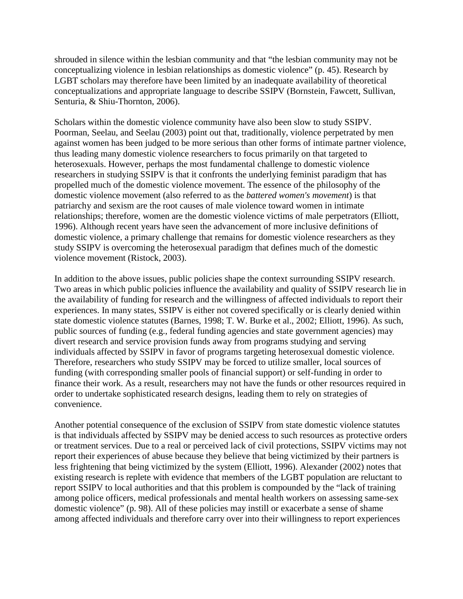shrouded in silence within the lesbian community and that "the lesbian community may not be conceptualizing violence in lesbian relationships as domestic violence" (p. 45). Research by LGBT scholars may therefore have been limited by an inadequate availability of theoretical conceptualizations and appropriate language to describe SSIPV (Bornstein, Fawcett, Sullivan, Senturia, & Shiu-Thornton, 2006).

Scholars within the domestic violence community have also been slow to study SSIPV. Poorman, Seelau, and Seelau (2003) point out that, traditionally, violence perpetrated by men against women has been judged to be more serious than other forms of intimate partner violence, thus leading many domestic violence researchers to focus primarily on that targeted to heterosexuals. However, perhaps the most fundamental challenge to domestic violence researchers in studying SSIPV is that it confronts the underlying feminist paradigm that has propelled much of the domestic violence movement. The essence of the philosophy of the domestic violence movement (also referred to as the *battered women's movement*) is that patriarchy and sexism are the root causes of male violence toward women in intimate relationships; therefore, women are the domestic violence victims of male perpetrators (Elliott, 1996). Although recent years have seen the advancement of more inclusive definitions of domestic violence, a primary challenge that remains for domestic violence researchers as they study SSIPV is overcoming the heterosexual paradigm that defines much of the domestic violence movement (Ristock, 2003).

In addition to the above issues, public policies shape the context surrounding SSIPV research. Two areas in which public policies influence the availability and quality of SSIPV research lie in the availability of funding for research and the willingness of affected individuals to report their experiences. In many states, SSIPV is either not covered specifically or is clearly denied within state domestic violence statutes (Barnes, 1998; T. W. Burke et al., 2002; Elliott, 1996). As such, public sources of funding (e.g., federal funding agencies and state government agencies) may divert research and service provision funds away from programs studying and serving individuals affected by SSIPV in favor of programs targeting heterosexual domestic violence. Therefore, researchers who study SSIPV may be forced to utilize smaller, local sources of funding (with corresponding smaller pools of financial support) or self-funding in order to finance their work. As a result, researchers may not have the funds or other resources required in order to undertake sophisticated research designs, leading them to rely on strategies of convenience.

Another potential consequence of the exclusion of SSIPV from state domestic violence statutes is that individuals affected by SSIPV may be denied access to such resources as protective orders or treatment services. Due to a real or perceived lack of civil protections, SSIPV victims may not report their experiences of abuse because they believe that being victimized by their partners is less frightening that being victimized by the system (Elliott, 1996). Alexander (2002) notes that existing research is replete with evidence that members of the LGBT population are reluctant to report SSIPV to local authorities and that this problem is compounded by the "lack of training among police officers, medical professionals and mental health workers on assessing same-sex domestic violence" (p. 98). All of these policies may instill or exacerbate a sense of shame among affected individuals and therefore carry over into their willingness to report experiences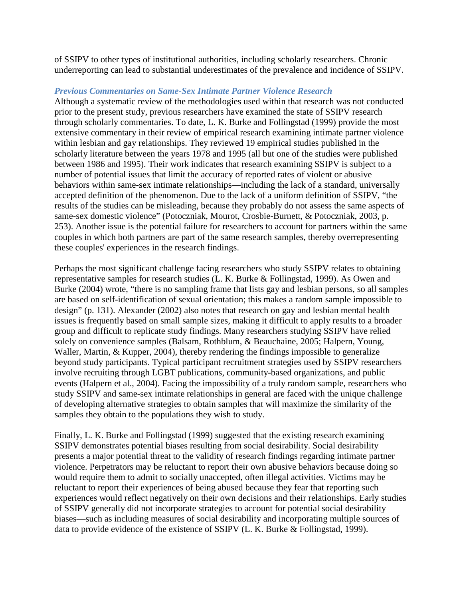of SSIPV to other types of institutional authorities, including scholarly researchers. Chronic underreporting can lead to substantial underestimates of the prevalence and incidence of SSIPV.

## *Previous Commentaries on Same-Sex Intimate Partner Violence Research*

Although a systematic review of the methodologies used within that research was not conducted prior to the present study, previous researchers have examined the state of SSIPV research through scholarly commentaries. To date, L. K. Burke and Follingstad (1999) provide the most extensive commentary in their review of empirical research examining intimate partner violence within lesbian and gay relationships. They reviewed 19 empirical studies published in the scholarly literature between the years 1978 and 1995 (all but one of the studies were published between 1986 and 1995). Their work indicates that research examining SSIPV is subject to a number of potential issues that limit the accuracy of reported rates of violent or abusive behaviors within same-sex intimate relationships—including the lack of a standard, universally accepted definition of the phenomenon. Due to the lack of a uniform definition of SSIPV, "the results of the studies can be misleading, because they probably do not assess the same aspects of same-sex domestic violence" (Potoczniak, Mourot, Crosbie-Burnett, & Potoczniak, 2003, p. 253). Another issue is the potential failure for researchers to account for partners within the same couples in which both partners are part of the same research samples, thereby overrepresenting these couples' experiences in the research findings.

Perhaps the most significant challenge facing researchers who study SSIPV relates to obtaining representative samples for research studies (L. K. Burke & Follingstad, 1999). As Owen and Burke (2004) wrote, "there is no sampling frame that lists gay and lesbian persons, so all samples are based on self-identification of sexual orientation; this makes a random sample impossible to design" (p. 131). Alexander (2002) also notes that research on gay and lesbian mental health issues is frequently based on small sample sizes, making it difficult to apply results to a broader group and difficult to replicate study findings. Many researchers studying SSIPV have relied solely on convenience samples (Balsam, Rothblum, & Beauchaine, 2005; Halpern, Young, Waller, Martin, & Kupper, 2004), thereby rendering the findings impossible to generalize beyond study participants. Typical participant recruitment strategies used by SSIPV researchers involve recruiting through LGBT publications, community-based organizations, and public events (Halpern et al., 2004). Facing the impossibility of a truly random sample, researchers who study SSIPV and same-sex intimate relationships in general are faced with the unique challenge of developing alternative strategies to obtain samples that will maximize the similarity of the samples they obtain to the populations they wish to study.

Finally, L. K. Burke and Follingstad (1999) suggested that the existing research examining SSIPV demonstrates potential biases resulting from social desirability. Social desirability presents a major potential threat to the validity of research findings regarding intimate partner violence. Perpetrators may be reluctant to report their own abusive behaviors because doing so would require them to admit to socially unaccepted, often illegal activities. Victims may be reluctant to report their experiences of being abused because they fear that reporting such experiences would reflect negatively on their own decisions and their relationships. Early studies of SSIPV generally did not incorporate strategies to account for potential social desirability biases—such as including measures of social desirability and incorporating multiple sources of data to provide evidence of the existence of SSIPV (L. K. Burke & Follingstad, 1999).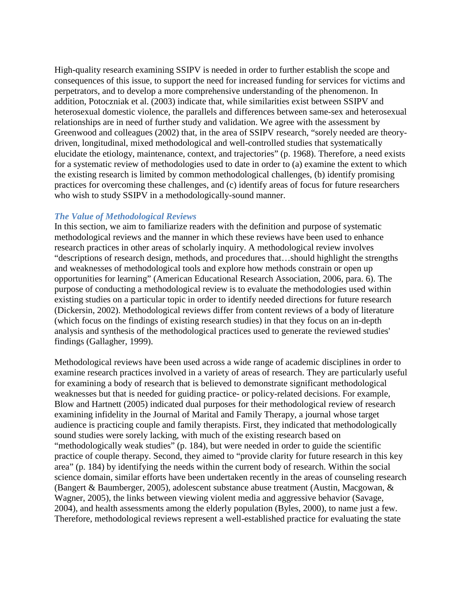High-quality research examining SSIPV is needed in order to further establish the scope and consequences of this issue, to support the need for increased funding for services for victims and perpetrators, and to develop a more comprehensive understanding of the phenomenon. In addition, Potoczniak et al. (2003) indicate that, while similarities exist between SSIPV and heterosexual domestic violence, the parallels and differences between same-sex and heterosexual relationships are in need of further study and validation. We agree with the assessment by Greenwood and colleagues (2002) that, in the area of SSIPV research, "sorely needed are theorydriven, longitudinal, mixed methodological and well-controlled studies that systematically elucidate the etiology, maintenance, context, and trajectories" (p. 1968). Therefore, a need exists for a systematic review of methodologies used to date in order to (a) examine the extent to which the existing research is limited by common methodological challenges, (b) identify promising practices for overcoming these challenges, and (c) identify areas of focus for future researchers who wish to study SSIPV in a methodologically-sound manner.

#### *The Value of Methodological Reviews*

In this section, we aim to familiarize readers with the definition and purpose of systematic methodological reviews and the manner in which these reviews have been used to enhance research practices in other areas of scholarly inquiry. A methodological review involves "descriptions of research design, methods, and procedures that…should highlight the strengths and weaknesses of methodological tools and explore how methods constrain or open up opportunities for learning" (American Educational Research Association, 2006, para. 6). The purpose of conducting a methodological review is to evaluate the methodologies used within existing studies on a particular topic in order to identify needed directions for future research (Dickersin, 2002). Methodological reviews differ from content reviews of a body of literature (which focus on the findings of existing research studies) in that they focus on an in-depth analysis and synthesis of the methodological practices used to generate the reviewed studies' findings (Gallagher, 1999).

Methodological reviews have been used across a wide range of academic disciplines in order to examine research practices involved in a variety of areas of research. They are particularly useful for examining a body of research that is believed to demonstrate significant methodological weaknesses but that is needed for guiding practice- or policy-related decisions. For example, Blow and Hartnett (2005) indicated dual purposes for their methodological review of research examining infidelity in the Journal of Marital and Family Therapy, a journal whose target audience is practicing couple and family therapists. First, they indicated that methodologically sound studies were sorely lacking, with much of the existing research based on "methodologically weak studies" (p. 184), but were needed in order to guide the scientific practice of couple therapy. Second, they aimed to "provide clarity for future research in this key area" (p. 184) by identifying the needs within the current body of research. Within the social science domain, similar efforts have been undertaken recently in the areas of counseling research (Bangert & Baumberger, 2005), adolescent substance abuse treatment (Austin, Macgowan, & Wagner, 2005), the links between viewing violent media and aggressive behavior (Savage, 2004), and health assessments among the elderly population (Byles, 2000), to name just a few. Therefore, methodological reviews represent a well-established practice for evaluating the state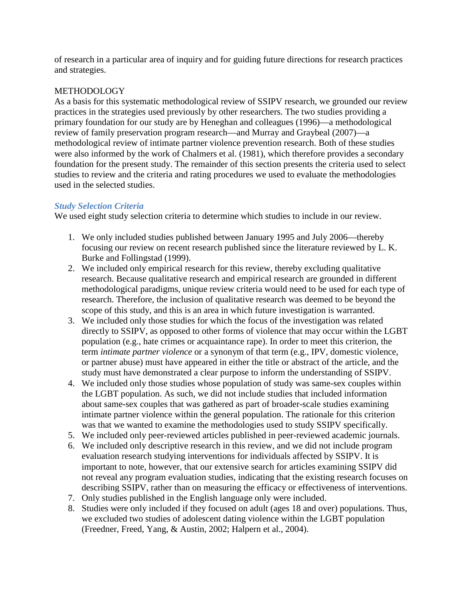of research in a particular area of inquiry and for guiding future directions for research practices and strategies.

# METHODOLOGY

As a basis for this systematic methodological review of SSIPV research, we grounded our review practices in the strategies used previously by other researchers. The two studies providing a primary foundation for our study are by Heneghan and colleagues (1996)—a methodological review of family preservation program research—and Murray and Graybeal (2007)—a methodological review of intimate partner violence prevention research. Both of these studies were also informed by the work of Chalmers et al. (1981), which therefore provides a secondary foundation for the present study. The remainder of this section presents the criteria used to select studies to review and the criteria and rating procedures we used to evaluate the methodologies used in the selected studies.

# *Study Selection Criteria*

We used eight study selection criteria to determine which studies to include in our review.

- 1. We only included studies published between January 1995 and July 2006—thereby focusing our review on recent research published since the literature reviewed by L. K. Burke and Follingstad (1999).
- 2. We included only empirical research for this review, thereby excluding qualitative research. Because qualitative research and empirical research are grounded in different methodological paradigms, unique review criteria would need to be used for each type of research. Therefore, the inclusion of qualitative research was deemed to be beyond the scope of this study, and this is an area in which future investigation is warranted.
- 3. We included only those studies for which the focus of the investigation was related directly to SSIPV, as opposed to other forms of violence that may occur within the LGBT population (e.g., hate crimes or acquaintance rape). In order to meet this criterion, the term *intimate partner violence* or a synonym of that term (e.g., IPV, domestic violence, or partner abuse) must have appeared in either the title or abstract of the article, and the study must have demonstrated a clear purpose to inform the understanding of SSIPV.
- 4. We included only those studies whose population of study was same-sex couples within the LGBT population. As such, we did not include studies that included information about same-sex couples that was gathered as part of broader-scale studies examining intimate partner violence within the general population. The rationale for this criterion was that we wanted to examine the methodologies used to study SSIPV specifically.
- 5. We included only peer-reviewed articles published in peer-reviewed academic journals.
- 6. We included only descriptive research in this review, and we did not include program evaluation research studying interventions for individuals affected by SSIPV. It is important to note, however, that our extensive search for articles examining SSIPV did not reveal any program evaluation studies, indicating that the existing research focuses on describing SSIPV, rather than on measuring the efficacy or effectiveness of interventions.
- 7. Only studies published in the English language only were included.
- 8. Studies were only included if they focused on adult (ages 18 and over) populations. Thus, we excluded two studies of adolescent dating violence within the LGBT population (Freedner, Freed, Yang, & Austin, 2002; Halpern et al., 2004).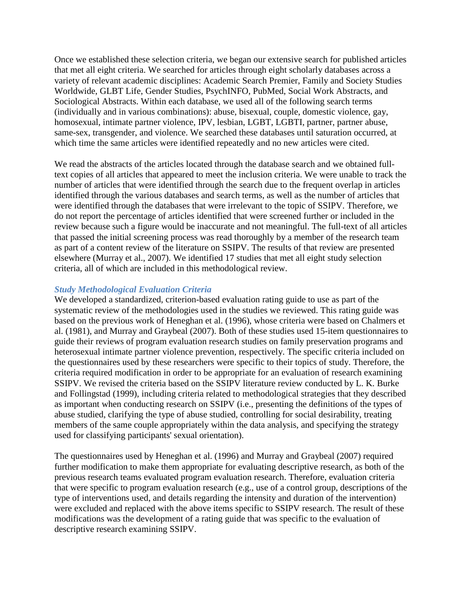Once we established these selection criteria, we began our extensive search for published articles that met all eight criteria. We searched for articles through eight scholarly databases across a variety of relevant academic disciplines: Academic Search Premier, Family and Society Studies Worldwide, GLBT Life, Gender Studies, PsychINFO, PubMed, Social Work Abstracts, and Sociological Abstracts. Within each database, we used all of the following search terms (individually and in various combinations): abuse, bisexual, couple, domestic violence, gay, homosexual, intimate partner violence, IPV, lesbian, LGBT, LGBTI, partner, partner abuse, same-sex, transgender, and violence. We searched these databases until saturation occurred, at which time the same articles were identified repeatedly and no new articles were cited.

We read the abstracts of the articles located through the database search and we obtained fulltext copies of all articles that appeared to meet the inclusion criteria. We were unable to track the number of articles that were identified through the search due to the frequent overlap in articles identified through the various databases and search terms, as well as the number of articles that were identified through the databases that were irrelevant to the topic of SSIPV. Therefore, we do not report the percentage of articles identified that were screened further or included in the review because such a figure would be inaccurate and not meaningful. The full-text of all articles that passed the initial screening process was read thoroughly by a member of the research team as part of a content review of the literature on SSIPV. The results of that review are presented elsewhere (Murray et al., 2007). We identified 17 studies that met all eight study selection criteria, all of which are included in this methodological review.

## *Study Methodological Evaluation Criteria*

We developed a standardized, criterion-based evaluation rating guide to use as part of the systematic review of the methodologies used in the studies we reviewed. This rating guide was based on the previous work of Heneghan et al. (1996), whose criteria were based on Chalmers et al. (1981), and Murray and Graybeal (2007). Both of these studies used 15-item questionnaires to guide their reviews of program evaluation research studies on family preservation programs and heterosexual intimate partner violence prevention, respectively. The specific criteria included on the questionnaires used by these researchers were specific to their topics of study. Therefore, the criteria required modification in order to be appropriate for an evaluation of research examining SSIPV. We revised the criteria based on the SSIPV literature review conducted by L. K. Burke and Follingstad (1999), including criteria related to methodological strategies that they described as important when conducting research on SSIPV (i.e., presenting the definitions of the types of abuse studied, clarifying the type of abuse studied, controlling for social desirability, treating members of the same couple appropriately within the data analysis, and specifying the strategy used for classifying participants' sexual orientation).

The questionnaires used by Heneghan et al. (1996) and Murray and Graybeal (2007) required further modification to make them appropriate for evaluating descriptive research, as both of the previous research teams evaluated program evaluation research. Therefore, evaluation criteria that were specific to program evaluation research (e.g., use of a control group, descriptions of the type of interventions used, and details regarding the intensity and duration of the intervention) were excluded and replaced with the above items specific to SSIPV research. The result of these modifications was the development of a rating guide that was specific to the evaluation of descriptive research examining SSIPV.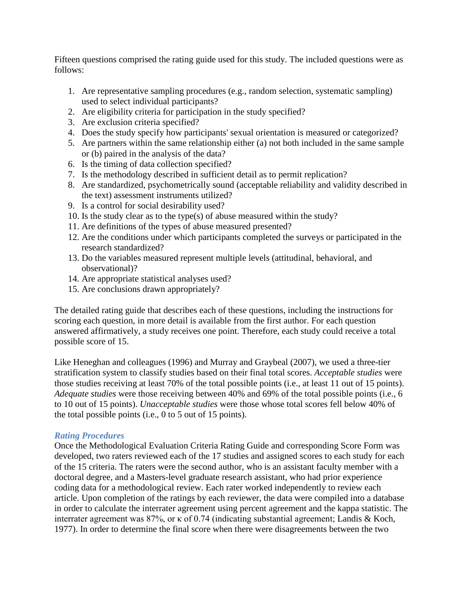Fifteen questions comprised the rating guide used for this study. The included questions were as follows:

- 1. Are representative sampling procedures (e.g., random selection, systematic sampling) used to select individual participants?
- 2. Are eligibility criteria for participation in the study specified?
- 3. Are exclusion criteria specified?
- 4. Does the study specify how participants' sexual orientation is measured or categorized?
- 5. Are partners within the same relationship either (a) not both included in the same sample or (b) paired in the analysis of the data?
- 6. Is the timing of data collection specified?
- 7. Is the methodology described in sufficient detail as to permit replication?
- 8. Are standardized, psychometrically sound (acceptable reliability and validity described in the text) assessment instruments utilized?
- 9. Is a control for social desirability used?
- 10. Is the study clear as to the type(s) of abuse measured within the study?
- 11. Are definitions of the types of abuse measured presented?
- 12. Are the conditions under which participants completed the surveys or participated in the research standardized?
- 13. Do the variables measured represent multiple levels (attitudinal, behavioral, and observational)?
- 14. Are appropriate statistical analyses used?
- 15. Are conclusions drawn appropriately?

The detailed rating guide that describes each of these questions, including the instructions for scoring each question, in more detail is available from the first author. For each question answered affirmatively, a study receives one point. Therefore, each study could receive a total possible score of 15.

Like Heneghan and colleagues (1996) and Murray and Graybeal (2007), we used a three-tier stratification system to classify studies based on their final total scores. *Acceptable studies* were those studies receiving at least 70% of the total possible points (i.e., at least 11 out of 15 points). *Adequate studies* were those receiving between 40% and 69% of the total possible points (i.e., 6 to 10 out of 15 points). *Unacceptable studies* were those whose total scores fell below 40% of the total possible points (i.e., 0 to 5 out of 15 points).

# *Rating Procedures*

Once the Methodological Evaluation Criteria Rating Guide and corresponding Score Form was developed, two raters reviewed each of the 17 studies and assigned scores to each study for each of the 15 criteria. The raters were the second author, who is an assistant faculty member with a doctoral degree, and a Masters-level graduate research assistant, who had prior experience coding data for a methodological review. Each rater worked independently to review each article. Upon completion of the ratings by each reviewer, the data were compiled into a database in order to calculate the interrater agreement using percent agreement and the kappa statistic. The interrater agreement was 87%, or κ of 0.74 (indicating substantial agreement; Landis & Koch, 1977). In order to determine the final score when there were disagreements between the two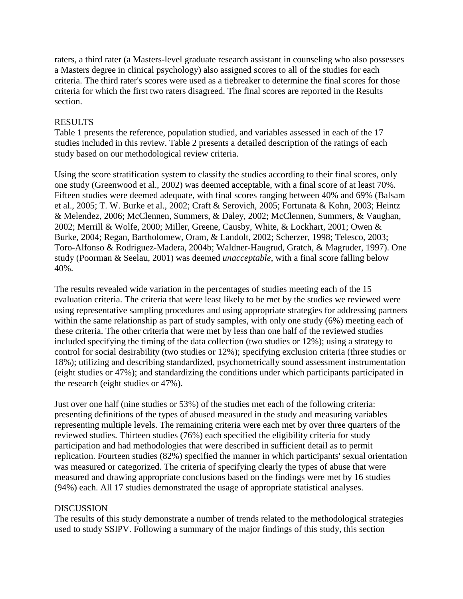raters, a third rater (a Masters-level graduate research assistant in counseling who also possesses a Masters degree in clinical psychology) also assigned scores to all of the studies for each criteria. The third rater's scores were used as a tiebreaker to determine the final scores for those criteria for which the first two raters disagreed. The final scores are reported in the Results section.

# RESULTS

Table 1 presents the reference, population studied, and variables assessed in each of the 17 studies included in this review. Table 2 presents a detailed description of the ratings of each study based on our methodological review criteria.

Using the score stratification system to classify the studies according to their final scores, only one study (Greenwood et al., 2002) was deemed acceptable, with a final score of at least 70%. Fifteen studies were deemed adequate, with final scores ranging between 40% and 69% (Balsam et al., 2005; T. W. Burke et al., 2002; Craft & Serovich, 2005; Fortunata & Kohn, 2003; Heintz & Melendez, 2006; McClennen, Summers, & Daley, 2002; McClennen, Summers, & Vaughan, 2002; Merrill & Wolfe, 2000; Miller, Greene, Causby, White, & Lockhart, 2001; Owen & Burke, 2004; Regan, Bartholomew, Oram, & Landolt, 2002; Scherzer, 1998; Telesco, 2003; Toro-Alfonso & Rodriguez-Madera, 2004b; Waldner-Haugrud, Gratch, & Magruder, 1997). One study (Poorman & Seelau, 2001) was deemed *unacceptable*, with a final score falling below 40%.

The results revealed wide variation in the percentages of studies meeting each of the 15 evaluation criteria. The criteria that were least likely to be met by the studies we reviewed were using representative sampling procedures and using appropriate strategies for addressing partners within the same relationship as part of study samples, with only one study (6%) meeting each of these criteria. The other criteria that were met by less than one half of the reviewed studies included specifying the timing of the data collection (two studies or 12%); using a strategy to control for social desirability (two studies or 12%); specifying exclusion criteria (three studies or 18%); utilizing and describing standardized, psychometrically sound assessment instrumentation (eight studies or 47%); and standardizing the conditions under which participants participated in the research (eight studies or 47%).

Just over one half (nine studies or 53%) of the studies met each of the following criteria: presenting definitions of the types of abused measured in the study and measuring variables representing multiple levels. The remaining criteria were each met by over three quarters of the reviewed studies. Thirteen studies (76%) each specified the eligibility criteria for study participation and had methodologies that were described in sufficient detail as to permit replication. Fourteen studies (82%) specified the manner in which participants' sexual orientation was measured or categorized. The criteria of specifying clearly the types of abuse that were measured and drawing appropriate conclusions based on the findings were met by 16 studies (94%) each. All 17 studies demonstrated the usage of appropriate statistical analyses.

## DISCUSSION

The results of this study demonstrate a number of trends related to the methodological strategies used to study SSIPV. Following a summary of the major findings of this study, this section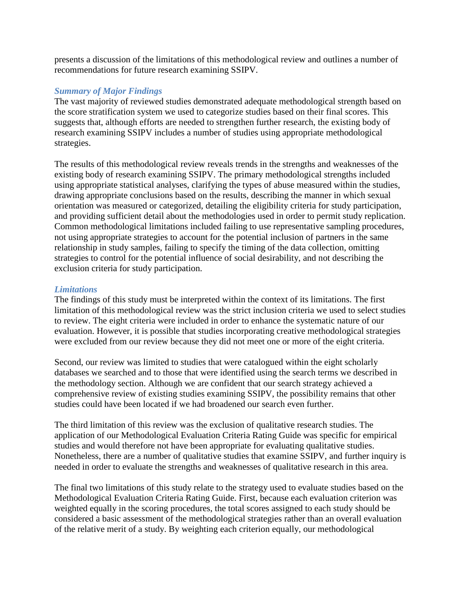presents a discussion of the limitations of this methodological review and outlines a number of recommendations for future research examining SSIPV.

## *Summary of Major Findings*

The vast majority of reviewed studies demonstrated adequate methodological strength based on the score stratification system we used to categorize studies based on their final scores. This suggests that, although efforts are needed to strengthen further research, the existing body of research examining SSIPV includes a number of studies using appropriate methodological strategies.

The results of this methodological review reveals trends in the strengths and weaknesses of the existing body of research examining SSIPV. The primary methodological strengths included using appropriate statistical analyses, clarifying the types of abuse measured within the studies, drawing appropriate conclusions based on the results, describing the manner in which sexual orientation was measured or categorized, detailing the eligibility criteria for study participation, and providing sufficient detail about the methodologies used in order to permit study replication. Common methodological limitations included failing to use representative sampling procedures, not using appropriate strategies to account for the potential inclusion of partners in the same relationship in study samples, failing to specify the timing of the data collection, omitting strategies to control for the potential influence of social desirability, and not describing the exclusion criteria for study participation.

## *Limitations*

The findings of this study must be interpreted within the context of its limitations. The first limitation of this methodological review was the strict inclusion criteria we used to select studies to review. The eight criteria were included in order to enhance the systematic nature of our evaluation. However, it is possible that studies incorporating creative methodological strategies were excluded from our review because they did not meet one or more of the eight criteria.

Second, our review was limited to studies that were catalogued within the eight scholarly databases we searched and to those that were identified using the search terms we described in the methodology section. Although we are confident that our search strategy achieved a comprehensive review of existing studies examining SSIPV, the possibility remains that other studies could have been located if we had broadened our search even further.

The third limitation of this review was the exclusion of qualitative research studies. The application of our Methodological Evaluation Criteria Rating Guide was specific for empirical studies and would therefore not have been appropriate for evaluating qualitative studies. Nonetheless, there are a number of qualitative studies that examine SSIPV, and further inquiry is needed in order to evaluate the strengths and weaknesses of qualitative research in this area.

The final two limitations of this study relate to the strategy used to evaluate studies based on the Methodological Evaluation Criteria Rating Guide. First, because each evaluation criterion was weighted equally in the scoring procedures, the total scores assigned to each study should be considered a basic assessment of the methodological strategies rather than an overall evaluation of the relative merit of a study. By weighting each criterion equally, our methodological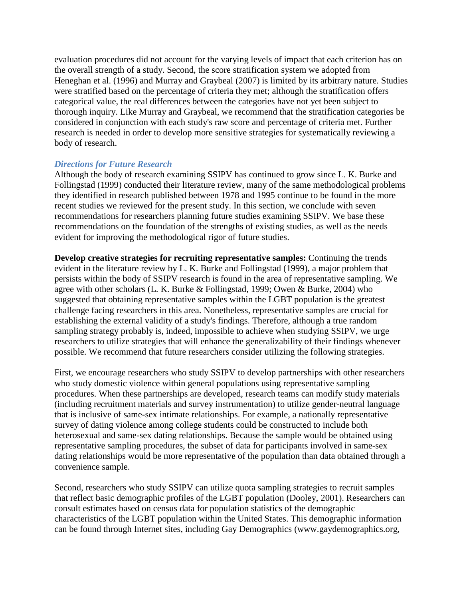evaluation procedures did not account for the varying levels of impact that each criterion has on the overall strength of a study. Second, the score stratification system we adopted from Heneghan et al. (1996) and Murray and Graybeal (2007) is limited by its arbitrary nature. Studies were stratified based on the percentage of criteria they met; although the stratification offers categorical value, the real differences between the categories have not yet been subject to thorough inquiry. Like Murray and Graybeal, we recommend that the stratification categories be considered in conjunction with each study's raw score and percentage of criteria met. Further research is needed in order to develop more sensitive strategies for systematically reviewing a body of research.

## *Directions for Future Research*

Although the body of research examining SSIPV has continued to grow since L. K. Burke and Follingstad (1999) conducted their literature review, many of the same methodological problems they identified in research published between 1978 and 1995 continue to be found in the more recent studies we reviewed for the present study. In this section, we conclude with seven recommendations for researchers planning future studies examining SSIPV. We base these recommendations on the foundation of the strengths of existing studies, as well as the needs evident for improving the methodological rigor of future studies.

**Develop creative strategies for recruiting representative samples:** Continuing the trends evident in the literature review by L. K. Burke and Follingstad (1999), a major problem that persists within the body of SSIPV research is found in the area of representative sampling. We agree with other scholars (L. K. Burke & Follingstad, 1999; Owen & Burke, 2004) who suggested that obtaining representative samples within the LGBT population is the greatest challenge facing researchers in this area. Nonetheless, representative samples are crucial for establishing the external validity of a study's findings. Therefore, although a true random sampling strategy probably is, indeed, impossible to achieve when studying SSIPV, we urge researchers to utilize strategies that will enhance the generalizability of their findings whenever possible. We recommend that future researchers consider utilizing the following strategies.

First, we encourage researchers who study SSIPV to develop partnerships with other researchers who study domestic violence within general populations using representative sampling procedures. When these partnerships are developed, research teams can modify study materials (including recruitment materials and survey instrumentation) to utilize gender-neutral language that is inclusive of same-sex intimate relationships. For example, a nationally representative survey of dating violence among college students could be constructed to include both heterosexual and same-sex dating relationships. Because the sample would be obtained using representative sampling procedures, the subset of data for participants involved in same-sex dating relationships would be more representative of the population than data obtained through a convenience sample.

Second, researchers who study SSIPV can utilize quota sampling strategies to recruit samples that reflect basic demographic profiles of the LGBT population (Dooley, 2001). Researchers can consult estimates based on census data for population statistics of the demographic characteristics of the LGBT population within the United States. This demographic information can be found through Internet sites, including Gay Demographics (www.gaydemographics.org,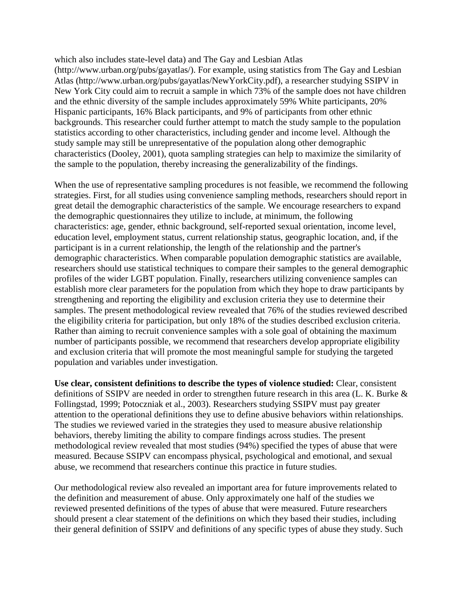which also includes state-level data) and The Gay and Lesbian Atlas

(http://www.urban.org/pubs/gayatlas/). For example, using statistics from The Gay and Lesbian Atlas (http://www.urban.org/pubs/gayatlas/NewYorkCity.pdf), a researcher studying SSIPV in New York City could aim to recruit a sample in which 73% of the sample does not have children and the ethnic diversity of the sample includes approximately 59% White participants, 20% Hispanic participants, 16% Black participants, and 9% of participants from other ethnic backgrounds. This researcher could further attempt to match the study sample to the population statistics according to other characteristics, including gender and income level. Although the study sample may still be unrepresentative of the population along other demographic characteristics (Dooley, 2001), quota sampling strategies can help to maximize the similarity of the sample to the population, thereby increasing the generalizability of the findings.

When the use of representative sampling procedures is not feasible, we recommend the following strategies. First, for all studies using convenience sampling methods, researchers should report in great detail the demographic characteristics of the sample. We encourage researchers to expand the demographic questionnaires they utilize to include, at minimum, the following characteristics: age, gender, ethnic background, self-reported sexual orientation, income level, education level, employment status, current relationship status, geographic location, and, if the participant is in a current relationship, the length of the relationship and the partner's demographic characteristics. When comparable population demographic statistics are available, researchers should use statistical techniques to compare their samples to the general demographic profiles of the wider LGBT population. Finally, researchers utilizing convenience samples can establish more clear parameters for the population from which they hope to draw participants by strengthening and reporting the eligibility and exclusion criteria they use to determine their samples. The present methodological review revealed that 76% of the studies reviewed described the eligibility criteria for participation, but only 18% of the studies described exclusion criteria. Rather than aiming to recruit convenience samples with a sole goal of obtaining the maximum number of participants possible, we recommend that researchers develop appropriate eligibility and exclusion criteria that will promote the most meaningful sample for studying the targeted population and variables under investigation.

**Use clear, consistent definitions to describe the types of violence studied:** Clear, consistent definitions of SSIPV are needed in order to strengthen future research in this area (L. K. Burke & Follingstad, 1999; [Potoczniak et al., 2003\)](http://www.tandfonline.com/doi/full/10.1080/00918360902728848#CIT0051). Researchers studying SSIPV must pay greater attention to the operational definitions they use to define abusive behaviors within relationships. The studies we reviewed varied in the strategies they used to measure abusive relationship behaviors, thereby limiting the ability to compare findings across studies. The present methodological review revealed that most studies (94%) specified the types of abuse that were measured. Because SSIPV can encompass physical, psychological and emotional, and sexual abuse, we recommend that researchers continue this practice in future studies.

Our methodological review also revealed an important area for future improvements related to the definition and measurement of abuse. Only approximately one half of the studies we reviewed presented definitions of the types of abuse that were measured. Future researchers should present a clear statement of the definitions on which they based their studies, including their general definition of SSIPV and definitions of any specific types of abuse they study. Such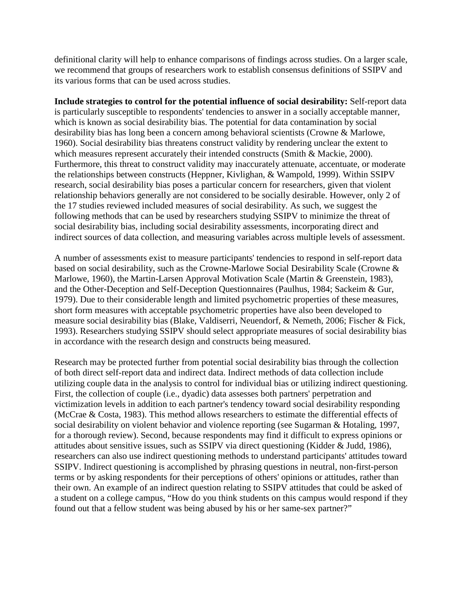definitional clarity will help to enhance comparisons of findings across studies. On a larger scale, we recommend that groups of researchers work to establish consensus definitions of SSIPV and its various forms that can be used across studies.

**Include strategies to control for the potential influence of social desirability:** Self-report data is particularly susceptible to respondents' tendencies to answer in a socially acceptable manner, which is known as social desirability bias. The potential for data contamination by social desirability bias has long been a concern among behavioral scientists (Crowne & Marlowe, 1960). Social desirability bias threatens construct validity by rendering unclear the extent to which measures represent accurately their intended constructs (Smith & Mackie, 2000). Furthermore, this threat to construct validity may inaccurately attenuate, accentuate, or moderate the relationships between constructs (Heppner, Kivlighan, & Wampold, 1999). Within SSIPV research, social desirability bias poses a particular concern for researchers, given that violent relationship behaviors generally are not considered to be socially desirable. However, only 2 of the 17 studies reviewed included measures of social desirability. As such, we suggest the following methods that can be used by researchers studying SSIPV to minimize the threat of social desirability bias, including social desirability assessments, incorporating direct and indirect sources of data collection, and measuring variables across multiple levels of assessment.

A number of assessments exist to measure participants' tendencies to respond in self-report data based on social desirability, such as the Crowne-Marlowe Social Desirability Scale (Crowne & Marlowe, 1960), the Martin-Larsen Approval Motivation Scale (Martin & Greenstein, 1983), and the Other-Deception and Self-Deception Questionnaires (Paulhus, 1984; Sackeim & Gur, 1979). Due to their considerable length and limited psychometric properties of these measures, short form measures with acceptable psychometric properties have also been developed to measure social desirability bias (Blake, Valdiserri, Neuendorf, & Nemeth, 2006; [Fischer & Fick,](http://www.tandfonline.com/doi/full/10.1080/00918360902728848#CIT0021)  [1993\)](http://www.tandfonline.com/doi/full/10.1080/00918360902728848#CIT0021). Researchers studying SSIPV should select appropriate measures of social desirability bias in accordance with the research design and constructs being measured.

Research may be protected further from potential social desirability bias through the collection of both direct self-report data and indirect data. Indirect methods of data collection include utilizing couple data in the analysis to control for individual bias or utilizing indirect questioning. First, the collection of couple (i.e., dyadic) data assesses both partners' perpetration and victimization levels in addition to each partner's tendency toward social desirability responding (McCrae & Costa, 1983). This method allows researchers to estimate the differential effects of social desirability on violent behavior and violence reporting (see Sugarman & Hotaling, 1997, for a thorough review). Second, because respondents may find it difficult to express opinions or attitudes about sensitive issues, such as SSIPV via direct questioning (Kidder & Judd, 1986), researchers can also use indirect questioning methods to understand participants' attitudes toward SSIPV. Indirect questioning is accomplished by phrasing questions in neutral, non-first-person terms or by asking respondents for their perceptions of others' opinions or attitudes, rather than their own. An example of an indirect question relating to SSIPV attitudes that could be asked of a student on a college campus, "How do you think students on this campus would respond if they found out that a fellow student was being abused by his or her same-sex partner?"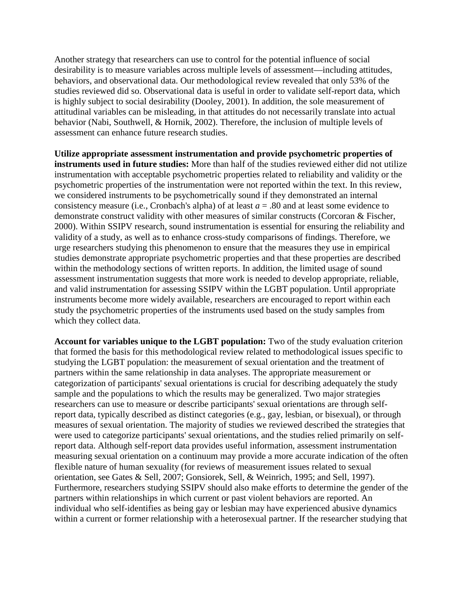Another strategy that researchers can use to control for the potential influence of social desirability is to measure variables across multiple levels of assessment—including attitudes, behaviors, and observational data. Our methodological review revealed that only 53% of the studies reviewed did so. Observational data is useful in order to validate self-report data, which is highly subject to social desirability (Dooley, 2001). In addition, the sole measurement of attitudinal variables can be misleading, in that attitudes do not necessarily translate into actual behavior (Nabi, Southwell, & Hornik, 2002). Therefore, the inclusion of multiple levels of assessment can enhance future research studies.

**Utilize appropriate assessment instrumentation and provide psychometric properties of instruments used in future studies:** More than half of the studies reviewed either did not utilize instrumentation with acceptable psychometric properties related to reliability and validity or the psychometric properties of the instrumentation were not reported within the text. In this review, we considered instruments to be psychometrically sound if they demonstrated an internal consistency measure (i.e., Cronbach's alpha) of at least *a* = .80 and at least some evidence to demonstrate construct validity with other measures of similar constructs (Corcoran & Fischer, 2000). Within SSIPV research, sound instrumentation is essential for ensuring the reliability and validity of a study, as well as to enhance cross-study comparisons of findings. Therefore, we urge researchers studying this phenomenon to ensure that the measures they use in empirical studies demonstrate appropriate psychometric properties and that these properties are described within the methodology sections of written reports. In addition, the limited usage of sound assessment instrumentation suggests that more work is needed to develop appropriate, reliable, and valid instrumentation for assessing SSIPV within the LGBT population. Until appropriate instruments become more widely available, researchers are encouraged to report within each study the psychometric properties of the instruments used based on the study samples from which they collect data.

**Account for variables unique to the LGBT population:** Two of the study evaluation criterion that formed the basis for this methodological review related to methodological issues specific to studying the LGBT population: the measurement of sexual orientation and the treatment of partners within the same relationship in data analyses. The appropriate measurement or categorization of participants' sexual orientations is crucial for describing adequately the study sample and the populations to which the results may be generalized. Two major strategies researchers can use to measure or describe participants' sexual orientations are through selfreport data, typically described as distinct categories (e.g., gay, lesbian, or bisexual), or through measures of sexual orientation. The majority of studies we reviewed described the strategies that were used to categorize participants' sexual orientations, and the studies relied primarily on selfreport data. Although self-report data provides useful information, assessment instrumentation measuring sexual orientation on a continuum may provide a more accurate indication of the often flexible nature of human sexuality (for reviews of measurement issues related to sexual orientation, see Gates & Sell, 2007; Gonsiorek, Sell, & Weinrich, 1995; and Sell, 1997). Furthermore, researchers studying SSIPV should also make efforts to determine the gender of the partners within relationships in which current or past violent behaviors are reported. An individual who self-identifies as being gay or lesbian may have experienced abusive dynamics within a current or former relationship with a heterosexual partner. If the researcher studying that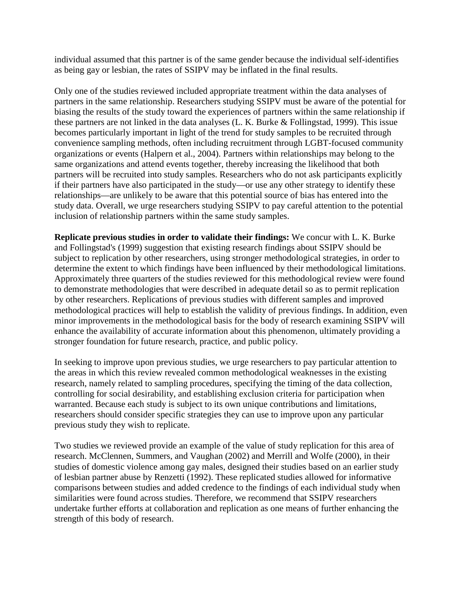individual assumed that this partner is of the same gender because the individual self-identifies as being gay or lesbian, the rates of SSIPV may be inflated in the final results.

Only one of the studies reviewed included appropriate treatment within the data analyses of partners in the same relationship. Researchers studying SSIPV must be aware of the potential for biasing the results of the study toward the experiences of partners within the same relationship if these partners are not linked in the data analyses (L. K. Burke & Follingstad, 1999). This issue becomes particularly important in light of the trend for study samples to be recruited through convenience sampling methods, often including recruitment through LGBT-focused community organizations or events (Halpern et al., 2004). Partners within relationships may belong to the same organizations and attend events together, thereby increasing the likelihood that both partners will be recruited into study samples. Researchers who do not ask participants explicitly if their partners have also participated in the study—or use any other strategy to identify these relationships—are unlikely to be aware that this potential source of bias has entered into the study data. Overall, we urge researchers studying SSIPV to pay careful attention to the potential inclusion of relationship partners within the same study samples.

**Replicate previous studies in order to validate their findings:** We concur with L. K. Burke and Follingstad's (1999) suggestion that existing research findings about SSIPV should be subject to replication by other researchers, using stronger methodological strategies, in order to determine the extent to which findings have been influenced by their methodological limitations. Approximately three quarters of the studies reviewed for this methodological review were found to demonstrate methodologies that were described in adequate detail so as to permit replication by other researchers. Replications of previous studies with different samples and improved methodological practices will help to establish the validity of previous findings. In addition, even minor improvements in the methodological basis for the body of research examining SSIPV will enhance the availability of accurate information about this phenomenon, ultimately providing a stronger foundation for future research, practice, and public policy.

In seeking to improve upon previous studies, we urge researchers to pay particular attention to the areas in which this review revealed common methodological weaknesses in the existing research, namely related to sampling procedures, specifying the timing of the data collection, controlling for social desirability, and establishing exclusion criteria for participation when warranted. Because each study is subject to its own unique contributions and limitations, researchers should consider specific strategies they can use to improve upon any particular previous study they wish to replicate.

Two studies we reviewed provide an example of the value of study replication for this area of research. McClennen, Summers, and Vaughan (2002) and Merrill and Wolfe (2000), in their studies of domestic violence among gay males, designed their studies based on an earlier study of lesbian partner abuse by Renzetti (1992). These replicated studies allowed for informative comparisons between studies and added credence to the findings of each individual study when similarities were found across studies. Therefore, we recommend that SSIPV researchers undertake further efforts at collaboration and replication as one means of further enhancing the strength of this body of research.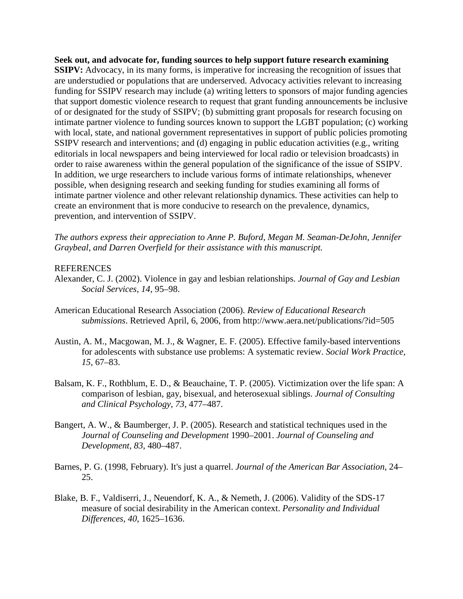**Seek out, and advocate for, funding sources to help support future research examining SSIPV:** Advocacy, in its many forms, is imperative for increasing the recognition of issues that are understudied or populations that are underserved. Advocacy activities relevant to increasing funding for SSIPV research may include (a) writing letters to sponsors of major funding agencies that support domestic violence research to request that grant funding announcements be inclusive of or designated for the study of SSIPV; (b) submitting grant proposals for research focusing on intimate partner violence to funding sources known to support the LGBT population; (c) working with local, state, and national government representatives in support of public policies promoting SSIPV research and interventions; and (d) engaging in public education activities (e.g., writing editorials in local newspapers and being interviewed for local radio or television broadcasts) in order to raise awareness within the general population of the significance of the issue of SSIPV. In addition, we urge researchers to include various forms of intimate relationships, whenever possible, when designing research and seeking funding for studies examining all forms of intimate partner violence and other relevant relationship dynamics. These activities can help to create an environment that is more conducive to research on the prevalence, dynamics, prevention, and intervention of SSIPV.

*The authors express their appreciation to Anne P. Buford, Megan M. Seaman-DeJohn, Jennifer Graybeal, and Darren Overfield for their assistance with this manuscript.*

#### **REFERENCES**

- Alexander, C. J. (2002). Violence in gay and lesbian relationships. *Journal of Gay and Lesbian Social Services, 14*, 95–98.
- American Educational Research Association (2006). *Review of Educational Research submissions*. Retrieved April, 6, 2006, from http://www.aera.net/publications/?id=505
- Austin, A. M., Macgowan, M. J., & Wagner, E. F. (2005). Effective family-based interventions for adolescents with substance use problems: A systematic review. *Social Work Practice, 15*, 67–83.
- Balsam, K. F., Rothblum, E. D., & Beauchaine, T. P. (2005). Victimization over the life span: A comparison of lesbian, gay, bisexual, and heterosexual siblings. *Journal of Consulting and Clinical Psychology, 73*, 477–487.
- Bangert, A. W., & Baumberger, J. P. (2005). Research and statistical techniques used in the *Journal of Counseling and Development* 1990–2001. *Journal of Counseling and Development, 83*, 480–487.
- Barnes, P. G. (1998, February). It's just a quarrel. *Journal of the American Bar Association*, 24– 25.
- Blake, B. F., Valdiserri, J., Neuendorf, K. A., & Nemeth, J. (2006). Validity of the SDS-17 measure of social desirability in the American context. *Personality and Individual Differences, 40*, 1625–1636.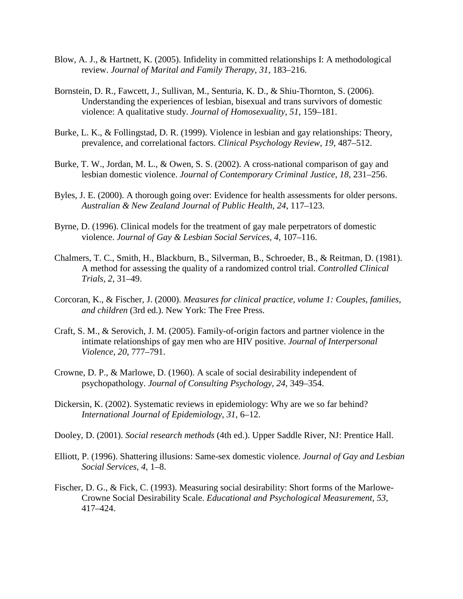- Blow, A. J., & Hartnett, K. (2005). Infidelity in committed relationships I: A methodological review. *Journal of Marital and Family Therapy, 31*, 183–216.
- Bornstein, D. R., Fawcett, J., Sullivan, M., Senturia, K. D., & Shiu-Thornton, S. (2006). Understanding the experiences of lesbian, bisexual and trans survivors of domestic violence: A qualitative study. *Journal of Homosexuality, 51*, 159–181.
- Burke, L. K., & Follingstad, D. R. (1999). Violence in lesbian and gay relationships: Theory, prevalence, and correlational factors. *Clinical Psychology Review, 19*, 487–512.
- Burke, T. W., Jordan, M. L., & Owen, S. S. (2002). A cross-national comparison of gay and lesbian domestic violence. *Journal of Contemporary Criminal Justice, 18*, 231–256.
- Byles, J. E. (2000). A thorough going over: Evidence for health assessments for older persons. *Australian & New Zealand Journal of Public Health, 24*, 117–123.
- Byrne, D. (1996). Clinical models for the treatment of gay male perpetrators of domestic violence. *Journal of Gay & Lesbian Social Services, 4*, 107–116.
- Chalmers, T. C., Smith, H., Blackburn, B., Silverman, B., Schroeder, B., & Reitman, D. (1981). A method for assessing the quality of a randomized control trial. *Controlled Clinical Trials, 2*, 31–49.
- Corcoran, K., & Fischer, J. (2000). *Measures for clinical practice, volume 1: Couples, families, and children* (3rd ed.). New York: The Free Press.
- Craft, S. M., & Serovich, J. M. (2005). Family-of-origin factors and partner violence in the intimate relationships of gay men who are HIV positive. *Journal of Interpersonal Violence, 20*, 777–791.
- Crowne, D. P., & Marlowe, D. (1960). A scale of social desirability independent of psychopathology. *Journal of Consulting Psychology, 24*, 349–354.
- Dickersin, K. (2002). Systematic reviews in epidemiology: Why are we so far behind? *International Journal of Epidemiology, 31*, 6–12.
- Dooley, D. (2001). *Social research methods* (4th ed.). Upper Saddle River, NJ: Prentice Hall.
- Elliott, P. (1996). Shattering illusions: Same-sex domestic violence. *Journal of Gay and Lesbian Social Services, 4*, 1–8.
- Fischer, D. G., & Fick, C. (1993). Measuring social desirability: Short forms of the Marlowe-Crowne Social Desirability Scale. *Educational and Psychological Measurement, 53*, 417–424.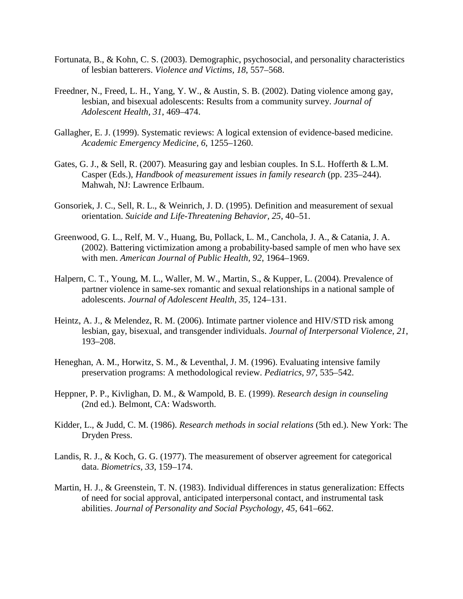- Fortunata, B., & Kohn, C. S. (2003). Demographic, psychosocial, and personality characteristics of lesbian batterers. *Violence and Victims, 18*, 557–568.
- Freedner, N., Freed, L. H., Yang, Y. W., & Austin, S. B. (2002). Dating violence among gay, lesbian, and bisexual adolescents: Results from a community survey. *Journal of Adolescent Health, 31*, 469–474.
- Gallagher, E. J. (1999). Systematic reviews: A logical extension of evidence-based medicine. *Academic Emergency Medicine, 6*, 1255–1260.
- Gates, G. J., & Sell, R. (2007). Measuring gay and lesbian couples. In S.L. Hofferth & L.M. Casper (Eds.), *Handbook of measurement issues in family research* (pp. 235–244). Mahwah, NJ: Lawrence Erlbaum.
- Gonsoriek, J. C., Sell, R. L., & Weinrich, J. D. (1995). Definition and measurement of sexual orientation. *Suicide and Life-Threatening Behavior, 25*, 40–51.
- Greenwood, G. L., Relf, M. V., Huang, Bu, Pollack, L. M., Canchola, J. A., & Catania, J. A. (2002). Battering victimization among a probability-based sample of men who have sex with men. *American Journal of Public Health, 92*, 1964–1969.
- Halpern, C. T., Young, M. L., Waller, M. W., Martin, S., & Kupper, L. (2004). Prevalence of partner violence in same-sex romantic and sexual relationships in a national sample of adolescents. *Journal of Adolescent Health, 35*, 124–131.
- Heintz, A. J., & Melendez, R. M. (2006). Intimate partner violence and HIV/STD risk among lesbian, gay, bisexual, and transgender individuals. *Journal of Interpersonal Violence, 21*, 193–208.
- Heneghan, A. M., Horwitz, S. M., & Leventhal, J. M. (1996). Evaluating intensive family preservation programs: A methodological review. *Pediatrics, 97*, 535–542.
- Heppner, P. P., Kivlighan, D. M., & Wampold, B. E. (1999). *Research design in counseling* (2nd ed.). Belmont, CA: Wadsworth.
- Kidder, L., & Judd, C. M. (1986). *Research methods in social relations* (5th ed.). New York: The Dryden Press.
- Landis, R. J., & Koch, G. G. (1977). The measurement of observer agreement for categorical data. *Biometrics, 33*, 159–174.
- Martin, H. J., & Greenstein, T. N. (1983). Individual differences in status generalization: Effects of need for social approval, anticipated interpersonal contact, and instrumental task abilities. *Journal of Personality and Social Psychology, 45*, 641–662.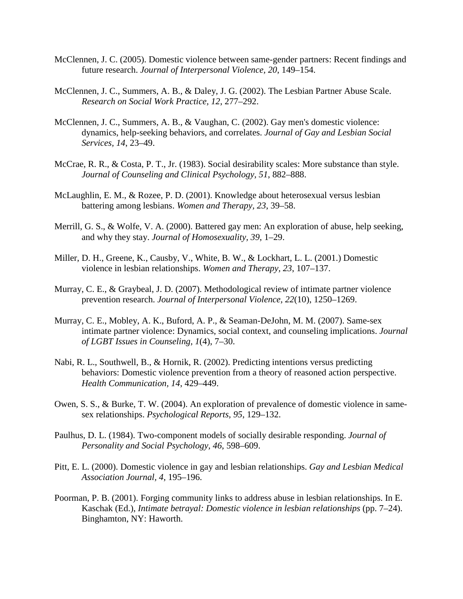- McClennen, J. C. (2005). Domestic violence between same-gender partners: Recent findings and future research. *Journal of Interpersonal Violence, 20*, 149–154.
- McClennen, J. C., Summers, A. B., & Daley, J. G. (2002). The Lesbian Partner Abuse Scale. *Research on Social Work Practice, 12*, 277–292.
- McClennen, J. C., Summers, A. B., & Vaughan, C. (2002). Gay men's domestic violence: dynamics, help-seeking behaviors, and correlates. *Journal of Gay and Lesbian Social Services, 14*, 23–49.
- McCrae, R. R., & Costa, P. T., Jr. (1983). Social desirability scales: More substance than style. *Journal of Counseling and Clinical Psychology, 51*, 882–888.
- McLaughlin, E. M., & Rozee, P. D. (2001). Knowledge about heterosexual versus lesbian battering among lesbians. *Women and Therapy, 23*, 39–58.
- Merrill, G. S., & Wolfe, V. A. (2000). Battered gay men: An exploration of abuse, help seeking, and why they stay. *Journal of Homosexuality, 39*, 1–29.
- Miller, D. H., Greene, K., Causby, V., White, B. W., & Lockhart, L. L. (2001.) Domestic violence in lesbian relationships. *Women and Therapy, 23*, 107–137.
- Murray, C. E., & Graybeal, J. D. (2007). Methodological review of intimate partner violence prevention research. *Journal of Interpersonal Violence, 22*(10), 1250–1269.
- Murray, C. E., Mobley, A. K., Buford, A. P., & Seaman-DeJohn, M. M. (2007). Same-sex intimate partner violence: Dynamics, social context, and counseling implications. *Journal of LGBT Issues in Counseling, 1*(4), 7–30.
- Nabi, R. L., Southwell, B., & Hornik, R. (2002). Predicting intentions versus predicting behaviors: Domestic violence prevention from a theory of reasoned action perspective. *Health Communication, 14*, 429–449.
- Owen, S. S., & Burke, T. W. (2004). An exploration of prevalence of domestic violence in samesex relationships. *Psychological Reports, 95*, 129–132.
- Paulhus, D. L. (1984). Two-component models of socially desirable responding. *Journal of Personality and Social Psychology, 46*, 598–609.
- Pitt, E. L. (2000). Domestic violence in gay and lesbian relationships. *Gay and Lesbian Medical Association Journal, 4*, 195–196.
- Poorman, P. B. (2001). Forging community links to address abuse in lesbian relationships. In E. Kaschak (Ed.), *Intimate betrayal: Domestic violence in lesbian relationships* (pp. 7–24). Binghamton, NY: Haworth.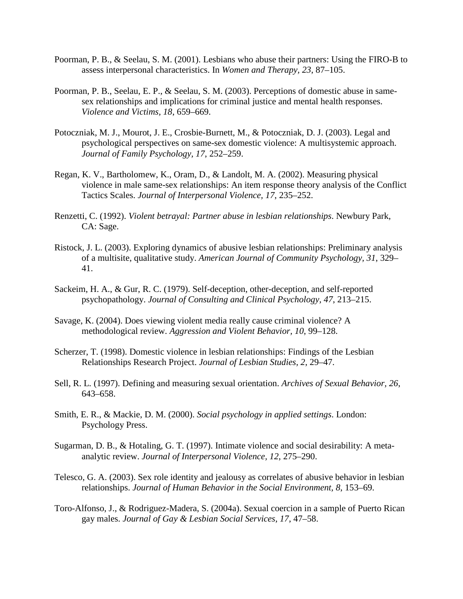- Poorman, P. B., & Seelau, S. M. (2001). Lesbians who abuse their partners: Using the FIRO-B to assess interpersonal characteristics. In *Women and Therapy, 23*, 87–105.
- Poorman, P. B., Seelau, E. P., & Seelau, S. M. (2003). Perceptions of domestic abuse in samesex relationships and implications for criminal justice and mental health responses. *Violence and Victims, 18*, 659–669.
- Potoczniak, M. J., Mourot, J. E., Crosbie-Burnett, M., & Potoczniak, D. J. (2003). Legal and psychological perspectives on same-sex domestic violence: A multisystemic approach. *Journal of Family Psychology, 17*, 252–259.
- Regan, K. V., Bartholomew, K., Oram, D., & Landolt, M. A. (2002). Measuring physical violence in male same-sex relationships: An item response theory analysis of the Conflict Tactics Scales. *Journal of Interpersonal Violence, 17*, 235–252.
- Renzetti, C. (1992). *Violent betrayal: Partner abuse in lesbian relationships*. Newbury Park, CA: Sage.
- Ristock, J. L. (2003). Exploring dynamics of abusive lesbian relationships: Preliminary analysis of a multisite, qualitative study. *American Journal of Community Psychology, 31*, 329– 41.
- Sackeim, H. A., & Gur, R. C. (1979). Self-deception, other-deception, and self-reported psychopathology. *Journal of Consulting and Clinical Psychology, 47*, 213–215.
- Savage, K. (2004). Does viewing violent media really cause criminal violence? A methodological review. *Aggression and Violent Behavior, 10*, 99–128.
- Scherzer, T. (1998). Domestic violence in lesbian relationships: Findings of the Lesbian Relationships Research Project. *Journal of Lesbian Studies, 2*, 29–47.
- Sell, R. L. (1997). Defining and measuring sexual orientation. *Archives of Sexual Behavior, 26*, 643–658.
- Smith, E. R., & Mackie, D. M. (2000). *Social psychology in applied settings*. London: Psychology Press.
- Sugarman, D. B., & Hotaling, G. T. (1997). Intimate violence and social desirability: A metaanalytic review. *Journal of Interpersonal Violence, 12*, 275–290.
- Telesco, G. A. (2003). Sex role identity and jealousy as correlates of abusive behavior in lesbian relationships. *Journal of Human Behavior in the Social Environment, 8*, 153–69.
- Toro-Alfonso, J., & Rodriguez-Madera, S. (2004a). Sexual coercion in a sample of Puerto Rican gay males. *Journal of Gay & Lesbian Social Services, 17*, 47–58.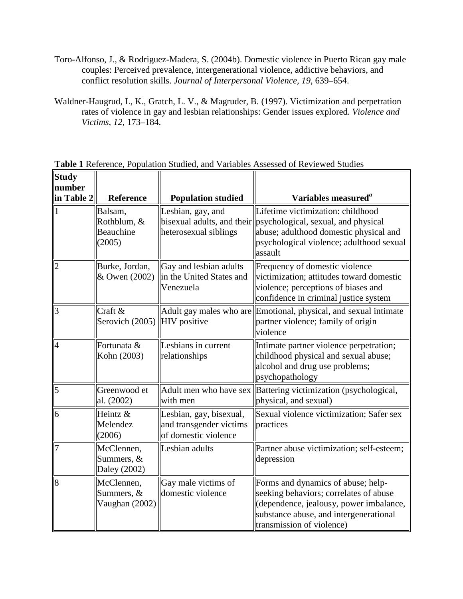- Toro-Alfonso, J., & Rodriguez-Madera, S. (2004b). Domestic violence in Puerto Rican gay male couples: Perceived prevalence, intergenerational violence, addictive behaviors, and conflict resolution skills. *Journal of Interpersonal Violence, 19*, 639–654.
- Waldner-Haugrud, L, K., Gratch, L. V., & Magruder, B. (1997). Victimization and perpetration rates of violence in gay and lesbian relationships: Gender issues explored. *Violence and Victims, 12*, 173–184.

| <b>Study</b><br>number<br>in Table 2 | <b>Reference</b>                              | <b>Population studied</b>                                                  | Variables measured <sup>a</sup>                                                                                                                                                                      |  |  |  |  |  |  |
|--------------------------------------|-----------------------------------------------|----------------------------------------------------------------------------|------------------------------------------------------------------------------------------------------------------------------------------------------------------------------------------------------|--|--|--|--|--|--|
| 1                                    | Balsam,<br>Rothblum, &<br>Beauchine<br>(2005) | Lesbian, gay, and<br>heterosexual siblings                                 | Lifetime victimization: childhood<br>bisexual adults, and their psychological, sexual, and physical<br>abuse; adulthood domestic physical and<br>psychological violence; adulthood sexual<br>assault |  |  |  |  |  |  |
| $\overline{2}$                       | Burke, Jordan,<br>& Owen (2002)               | Gay and lesbian adults<br>in the United States and<br>Venezuela            | Frequency of domestic violence<br>victimization; attitudes toward domestic<br>violence; perceptions of biases and<br>confidence in criminal justice system                                           |  |  |  |  |  |  |
| 3                                    | Craft &<br>Serovich $(2005)$ HIV positive     | Adult gay males who are                                                    | Emotional, physical, and sexual intimate<br>partner violence; family of origin<br>violence                                                                                                           |  |  |  |  |  |  |
| $\overline{4}$                       | Fortunata &<br>Kohn (2003)                    | Lesbians in current<br>relationships                                       | Intimate partner violence perpetration;<br>childhood physical and sexual abuse;<br>alcohol and drug use problems;<br>psychopathology                                                                 |  |  |  |  |  |  |
| 5                                    | Greenwood et<br>al. (2002)                    | Adult men who have sex<br>with men                                         | Battering victimization (psychological,<br>physical, and sexual)                                                                                                                                     |  |  |  |  |  |  |
| 6                                    | Heintz &<br>Melendez<br>(2006)                | Lesbian, gay, bisexual,<br>and transgender victims<br>of domestic violence | Sexual violence victimization; Safer sex<br>practices                                                                                                                                                |  |  |  |  |  |  |
| 7                                    | McClennen,<br>Summers, &<br>Daley (2002)      | Lesbian adults                                                             | Partner abuse victimization; self-esteem;<br>depression                                                                                                                                              |  |  |  |  |  |  |
| 8                                    | McClennen,<br>Summers, &<br>Vaughan (2002)    | Gay male victims of<br>domestic violence                                   | Forms and dynamics of abuse; help-<br>seeking behaviors; correlates of abuse<br>(dependence, jealousy, power imbalance,<br>substance abuse, and intergenerational<br>transmission of violence)       |  |  |  |  |  |  |

**Table 1** Reference, Population Studied, and Variables Assessed of Reviewed Studies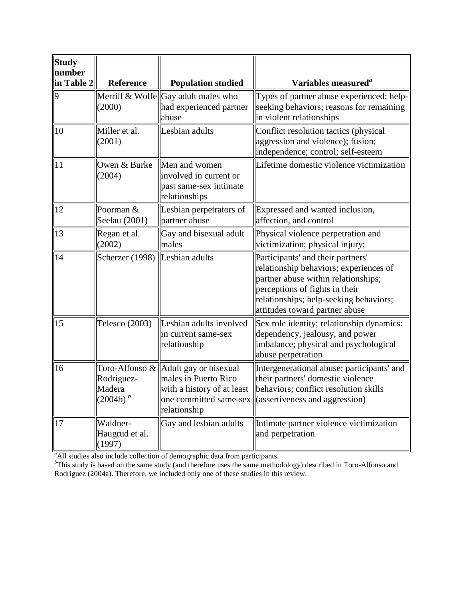| Study<br>  number<br>in Table 2 | <b>Reference</b>                               | <b>Population studied</b>                                                                                                            | Variables measured <sup>a</sup>                                                                                                                                                                                                  |  |  |  |  |  |  |  |
|---------------------------------|------------------------------------------------|--------------------------------------------------------------------------------------------------------------------------------------|----------------------------------------------------------------------------------------------------------------------------------------------------------------------------------------------------------------------------------|--|--|--|--|--|--|--|
| 9                               | (2000)                                         | Merrill & Wolfe Gay adult males who<br>had experienced partner<br>abuse                                                              | Types of partner abuse experienced; help-<br>seeking behaviors; reasons for remaining<br>in violent relationships                                                                                                                |  |  |  |  |  |  |  |
| 10                              | Miller et al.<br>(2001)                        | Lesbian adults                                                                                                                       | Conflict resolution tactics (physical<br>aggression and violence); fusion;<br>independence; control; self-esteem                                                                                                                 |  |  |  |  |  |  |  |
| 11                              | Owen & Burke<br>(2004)                         | Men and women<br>involved in current or<br>past same-sex intimate<br>relationships                                                   | Lifetime domestic violence victimization                                                                                                                                                                                         |  |  |  |  |  |  |  |
| 12                              | Poorman &<br>Seelau (2001)                     | Lesbian perpetrators of<br>partner abuse                                                                                             | Expressed and wanted inclusion,<br>affection, and control                                                                                                                                                                        |  |  |  |  |  |  |  |
| 13                              | Regan et al.<br>(2002)                         | Gay and bisexual adult<br>males                                                                                                      | Physical violence perpetration and<br>victimization; physical injury;                                                                                                                                                            |  |  |  |  |  |  |  |
| 14                              | Scherzer (1998)                                | Lesbian adults                                                                                                                       | Participants' and their partners'<br>relationship behaviors; experiences of<br>partner abuse within relationships;<br>perceptions of fights in their<br>relationships; help-seeking behaviors;<br>attitudes toward partner abuse |  |  |  |  |  |  |  |
| 15                              | Telesco (2003)                                 | Lesbian adults involved<br>in current same-sex<br>relationship                                                                       | Sex role identity; relationship dynamics:<br>dependency, jealousy, and power<br>imbalance; physical and psychological<br>abuse perpetration                                                                                      |  |  |  |  |  |  |  |
| 16                              | Rodriguez-<br>Madera<br>$(2004b)$ <sup>b</sup> | Toro-Alfonso & Adult gay or bisexual<br>males in Puerto Rico<br>with a history of at least<br>one committed same-sex<br>relationship | Intergenerational abuse; participants' and<br>their partners' domestic violence<br>behaviors; conflict resolution skills<br>(assertiveness and aggression)                                                                       |  |  |  |  |  |  |  |
| 17                              | Waldner-<br>Haugrud et al.<br>(1997)           | Gay and lesbian adults                                                                                                               | Intimate partner violence victimization<br>and perpetration                                                                                                                                                                      |  |  |  |  |  |  |  |

<sup>a</sup>All studies also include collection of demographic data from participants.<br><sup>b</sup>This study is based on the same study (and therefore uses the same methodology) described in Toro-Alfonso and Rodriguez (2004a). Therefore, we included only one of these studies in this review.